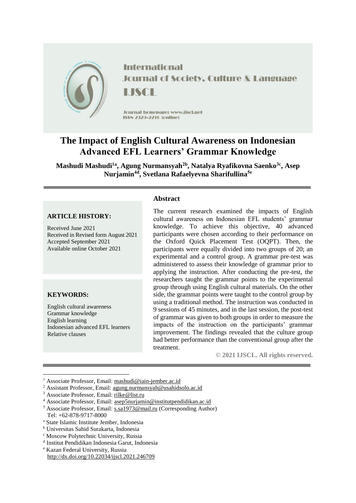

**International Journal of Society, Culture & Language** LISCH

Journal homepage: www.jiscl.net ISSN 2329-2210 (cnline)

# **The Impact of English Cultural Awareness on Indonesian Advanced EFL Learners' Grammar Knowledge**

**Mashudi Mashudi1a , Agung Nurmansyah2b , Natalya Ryafikovna Saenko3c , Asep Nurjamin4d , Svetlana Rafaelyevna Sharifullina5e**

## **ARTICLE HISTORY:**

Received June 2021 Received in Revised form August 2021 Accepted September 2021 Available online October 2021

# **KEYWORDS:**

1

English cultural awareness Grammar knowledge English learning Indonesian advanced EFL learners Relative clauses

#### **Abstract**

The current research examined the impacts of English cultural awareness on Indonesian EFL students' grammar knowledge. To achieve this objective, 40 advanced participants were chosen according to their performance on the Oxford Quick Placement Test (OQPT). Then, the participants were equally divided into two groups of 20; an experimental and a control group. A grammar pre-test was administered to assess their knowledge of grammar prior to applying the instruction. After conducting the pre-test, the researchers taught the grammar points to the experimental group through using English cultural materials. On the other side, the grammar points were taught to the control group by using a traditional method. The instruction was conducted in 9 sessions of 45 minutes, and in the last session, the post-test of grammar was given to both groups in order to measure the impacts of the instruction on the participants' grammar improvement. The findings revealed that the culture group had better performance than the conventional group after the treatment.

**© 2021 IJSCL. All rights reserved.**

<sup>5</sup> Associate Professor, Email: [s.sa1973@mail.ru](mailto:s.sa1973@mail.ru) (Corresponding Author) Tel: +62-878-9717-8000

<sup>1</sup> Associate Professor, Email: [mashudi@iain-jember.ac.id](mailto:mashudi@iain-jember.ac.id)

<sup>2</sup> Assistant Professor, Email: [agung.nurmansyah@usahidsolo.ac.id](mailto:agung.nurmansyah@usahidsolo.ac.id)

<sup>&</sup>lt;sup>3</sup> Associate Professor, Email: [rilke@list.ru](mailto:rilke@list.ru)

 $^4$  Associate Professor, Email:  $\underline{\text{asep5nurjamin@institutpendidikan.ac.id}}$  $\underline{\text{asep5nurjamin@institutpendidikan.ac.id}}$  $\underline{\text{asep5nurjamin@institutpendidikan.ac.id}}$ 

<sup>a</sup> State Islamic Institute Jember, Indonesia

<sup>b</sup> Universitas Sahid Surakarta, Indonesia

<sup>c</sup> Moscow Polytechnic University, Russia

d Institut Pendidikan Indonesia Garut, Indonesia

<sup>e</sup> Kazan Federal University, Russia http://dx.doi.org/10.22034/ijscl.2021.246709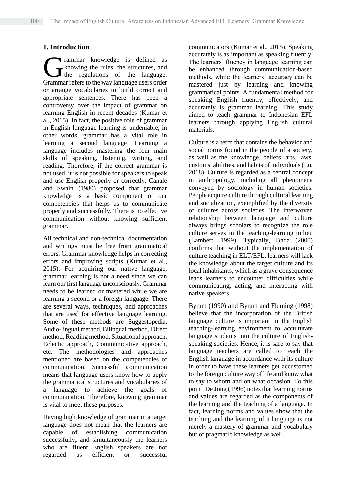# **1. Introduction**

rammar knowledge is defined as knowing the rules, the structures, and the regulations of the language. Trammar knowledge is defined as<br>the regulations of the language.<br>Grammar refers to the way language users order or arrange vocabularies to build correct and appropriate sentences. There has been a controversy over the impact of grammar on learning English in recent decades (Kumar et al., 2015). In fact, the positive role of grammar in English language learning is undeniable; in other words, grammar has a vital role in learning a second language. Learning a language includes mastering the four main skills of speaking, listening, writing, and reading. Therefore, if the correct grammar is not used, it is not possible for speakers to speak and use English properly or correctly. Canale and Swain (1980) proposed that grammar knowledge is a basic component of our competencies that helps us to communicate properly and successfully. There is no effective communication without knowing sufficient grammar.

All technical and non-technical documentation and writings must be free from grammatical errors. Grammar knowledge helps in correcting errors and improving scripts (Kumar et al., 2015). For acquiring our native language, grammar learning is not a need since we can learn our first language unconsciously. Grammar needs to be learned or mastered while we are learning a second or a foreign language. There are several ways, techniques, and approaches that are used for effective language learning. Some of these methods are Suggestopedia, Audio-lingual method, Bilingual method, Direct method, Reading method, Situational approach, Eclectic approach, Communicative approach, etc. The methodologies and approaches mentioned are based on the competencies of communication. Successful communication means that language users know how to apply the grammatical structures and vocabularies of a language to achieve the goals of communication. Therefore, knowing grammar is vital to meet these purposes.

Having high knowledge of grammar in a target language does not mean that the learners are capable of establishing communication successfully, and simultaneously the learners who are fluent English speakers are not regarded as efficient or successful

communicators (Kumar et al., 2015). Speaking accurately is as important as speaking fluently. The learners' fluency in language learning can be enhanced through communication-based methods, while the learners' accuracy can be mastered just by learning and knowing grammatical points. A fundamental method for speaking English fluently, effectively, and accurately is grammar learning. This study aimed to teach grammar to Indonesian EFL learners through applying English cultural materials.

Culture is a term that contains the behavior and social norms found in the people of a society, as well as the knowledge, beliefs, arts, laws, customs, abilities, and habits of individuals (Lu, 2018). Culture is regarded as a central concept in anthropology, including all phenomena conveyed by sociology in human societies. People acquire culture through cultural learning and socialization, exemplified by the diversity of cultures across societies. The interwoven relationship between language and culture always brings scholars to recognize the role culture serves in the teaching-learning milieu (Lambert, 1999). Typically, Bada (2000) confirms that without the implementation of culture teaching in ELT/EFL, learners will lack the knowledge about the target culture and its local inhabitants, which as a grave consequence leads learners to encounter difficulties while communicating, acting, and interacting with native speakers.

Byram (1990) and Byram and Fleming (1998) believe that the incorporation of the British language culture is important in the English teaching-learning environment to acculturate language students into the culture of Englishspeaking societies. Hence, it is safe to say that language teachers are called to teach the English language in accordance with its culture in order to have these learners get accustomed to the foreign culture way of life and know what to say to whom and on what occasion. To this point, De Jong (1996) notes that learning norms and values are regarded as the components of the learning and the teaching of a language. In fact, learning norms and values show that the teaching and the learning of a language is not merely a mastery of grammar and vocabulary but of pragmatic knowledge as well.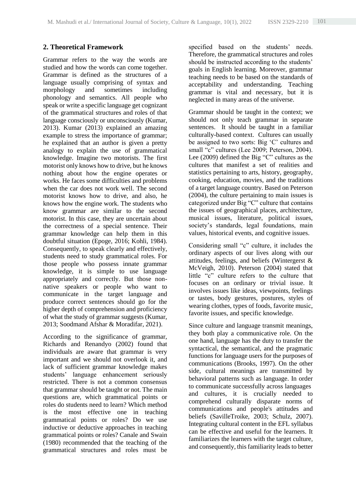# **2. Theoretical Framework**

Grammar refers to the way the words are studied and how the words can come together. Grammar is defined as the structures of a language usually comprising of syntax and morphology and sometimes including phonology and semantics. All people who speak or write a specific language get cognizant of the grammatical structures and roles of that language consciously or unconsciously (Kumar, 2013). Kumar (2013) explained an amazing example to stress the importance of grammar; he explained that an author is given a pretty analogy to explain the use of grammatical knowledge. Imagine two motorists. The first motorist only knows how to drive, but he knows nothing about how the engine operates or works. He faces some difficulties and problems when the car does not work well. The second motorist knows how to drive, and also, he knows how the engine work. The students who know grammar are similar to the second motorist. In this case, they are uncertain about the correctness of a special sentence. Their grammar knowledge can help them in this doubtful situation (Epoge, 2016; Kohli, 1984). Consequently, to speak clearly and effectively, students need to study grammatical roles. For those people who possess innate grammar knowledge, it is simple to use language appropriately and correctly. But those nonnative speakers or people who want to communicate in the target language and produce correct sentences should go for the higher depth of comprehension and proficiency of what the study of grammar suggests (Kumar, 2013; Soodmand Afshar & Moradifar, 2021).

According to the significance of grammar, Richards and Renandyo (2002) found that individuals are aware that grammar is very important and we should not overlook it, and lack of sufficient grammar knowledge makes students' language enhancement seriously restricted. There is not a common consensus that grammar should be taught or not. The main questions are, which grammatical points or roles do students need to learn? Which method is the most effective one in teaching grammatical points or roles? Do we use inductive or deductive approaches in teaching grammatical points or roles? Canale and Swain (1980) recommended that the teaching of the grammatical structures and roles must be

specified based on the students' needs. Therefore, the grammatical structures and roles should be instructed according to the students' goals in English learning. Moreover, grammar teaching needs to be based on the standards of acceptability and understanding. Teaching grammar is vital and necessary, but it is neglected in many areas of the universe.

Grammar should be taught in the context; we should not only teach grammar in separate sentences. It should be taught in a familiar culturally-based context. Cultures can usually be assigned to two sorts: Big 'C' cultures and small "c" cultures (Lee 2009; Peterson, 2004). Lee (2009) defined the Big "C" cultures as the cultures that manifest a set of realities and statistics pertaining to arts, history, geography, cooking, education, movies, and the traditions of a target language country. Based on Peterson (2004), the culture pertaining to main issues is categorized under Big "C" culture that contains the issues of geographical places, architecture, musical issues, literature, political issues, society's standards, legal foundations, main values, historical events, and cognitive issues.

Considering small "c" culture, it includes the ordinary aspects of our lives along with our attitudes, feelings, and beliefs (Wintergerst & McVeigh, 2010). Peterson (2004) stated that little "c" culture refers to the culture that focuses on an ordinary or trivial issue. It involves issues like ideas, viewpoints, feelings or tastes, body gestures, postures, styles of wearing clothes, types of foods, favorite music, favorite issues, and specific knowledge.

Since culture and language transmit meanings, they both play a communicative role. On the one hand, language has the duty to transfer the syntactical, the semantical, and the pragmatic functions for language users for the purposes of communications (Brooks, 1997). On the other side, cultural meanings are transmitted by behavioral patterns such as language. In order to communicate successfully across languages and cultures, it is crucially needed to comprehend culturally disparate norms of communications and people's attitudes and beliefs (SavilleTroike, 2003; Schulz, 2007). Integrating cultural content in the EFL syllabus can be effective and useful for the learners. It familiarizes the learners with the target culture, and consequently, this familiarity leads to better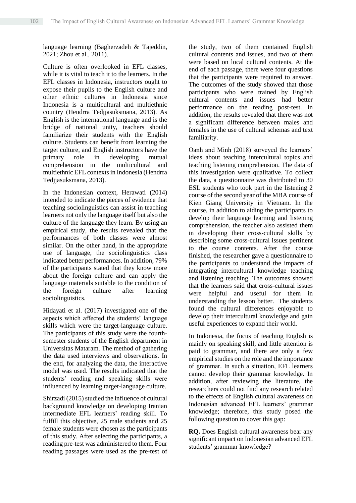language learning (Bagherzadeh & Tajeddin, 2021; Zhou et al., 2011).

Culture is often overlooked in EFL classes, while it is vital to teach it to the learners. In the EFL classes in Indonesia, instructors ought to expose their pupils to the English culture and other ethnic cultures in Indonesia since Indonesia is a multicultural and multiethnic country (Hendrra Tedjjasuksmana, 2013). As English is the international language and is the bridge of national unity, teachers should familiarize their students with the English culture. Students can benefit from learning the target culture, and English instructors have the primary role in developing mutual comprehension in the multicultural and multiethnic EFL contexts in Indonesia (Hendrra Tedjjasuksmana, 2013).

In the Indonesian context, Herawati (2014) intended to indicate the pieces of evidence that teaching sociolinguistics can assist in teaching learners not only the language itself but also the culture of the language they learn. By using an empirical study, the results revealed that the performances of both classes were almost similar. On the other hand, in the appropriate use of language, the sociolinguistics class indicated better performances. In addition, 79% of the participants stated that they know more about the foreign culture and can apply the language materials suitable to the condition of the foreign culture after learning sociolinguistics.

Hidayati et al. (2017) investigated one of the aspects which affected the students' language skills which were the target-language culture. The participants of this study were the fourthsemester students of the English department in Universitas Mataram. The method of gathering the data used interviews and observations. In the end, for analyzing the data, the interactive model was used. The results indicated that the students' reading and speaking skills were influenced by learning target-language culture.

Shirzadi (2015) studied the influence of cultural background knowledge on developing Iranian intermediate EFL learners' reading skill. To fulfill this objective, 25 male students and 25 female students were chosen as the participants of this study. After selecting the participants, a reading pre-test was administered to them. Four reading passages were used as the pre-test of

the study, two of them contained English cultural contents and issues, and two of them were based on local cultural contents. At the end of each passage, there were four questions that the participants were required to answer. The outcomes of the study showed that those participants who were trained by English cultural contents and issues had better performance on the reading post-test. In addition, the results revealed that there was not a significant difference between males and females in the use of cultural schemas and text familiarity.

Oanh and Minh (2018) surveyed the learners' ideas about teaching intercultural topics and teaching listening comprehension. The data of this investigation were qualitative. To collect the data, a questionnaire was distributed to 30 ESL students who took part in the listening 2 course of the second year of the MBA course of Kien Giang University in Vietnam. In the course, in addition to aiding the participants to develop their language learning and listening comprehension, the teacher also assisted them in developing their cross-cultural skills by describing some cross-cultural issues pertinent to the course contents. After the course finished, the researcher gave a questionnaire to the participants to understand the impacts of integrating intercultural knowledge teaching and listening teaching. The outcomes showed that the learners said that cross-cultural issues were helpful and useful for them in understanding the lesson better. The students found the cultural differences enjoyable to develop their intercultural knowledge and gain useful experiences to expand their world.

In Indonesia, the focus of teaching English is mainly on speaking skill, and little attention is paid to grammar, and there are only a few empirical studies on the role and the importance of grammar. In such a situation, EFL learners cannot develop their grammar knowledge. In addition, after reviewing the literature, the researchers could not find any research related to the effects of English cultural awareness on Indonesian advanced EFL learners' grammar knowledge; therefore, this study posed the following question to cover this gap:

**RQ.** Does English cultural awareness bear any significant impact on Indonesian advanced EFL students' grammar knowledge?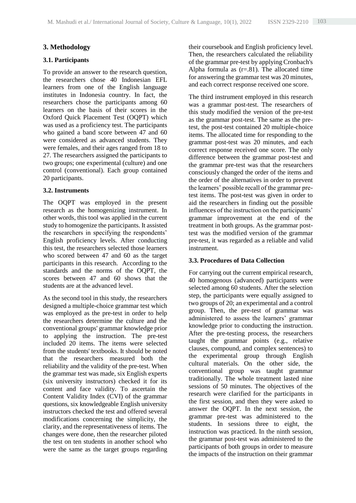# **3. Methodology**

## **3.1. Participants**

To provide an answer to the research question, the researchers chose 40 Indonesian EFL learners from one of the English language institutes in Indonesia country. In fact, the researchers chose the participants among 60 learners on the basis of their scores in the Oxford Quick Placement Test (OQPT) which was used as a proficiency test. The participants who gained a band score between 47 and 60 were considered as advanced students. They were females, and their ages ranged from 18 to 27. The researchers assigned the participants to two groups; one experimental (culture) and one control (conventional). Each group contained 20 participants.

## **3.2. Instruments**

The OQPT was employed in the present research as the homogenizing instrument. In other words, this tool was applied in the current study to homogenize the participants. It assisted the researchers in specifying the respondents' English proficiency levels. After conducting this test, the researchers selected those learners who scored between 47 and 60 as the target participants in this research. According to the standards and the norms of the OQPT, the scores between 47 and 60 shows that the students are at the advanced level.

As the second tool in this study, the researchers designed a multiple-choice grammar test which was employed as the pre-test in order to help the researchers determine the culture and the conventional groups' grammar knowledge prior to applying the instruction. The pre-test included 20 items. The items were selected from the students' textbooks. It should be noted that the researchers measured both the reliability and the validity of the pre-test. When the grammar test was made, six English experts (six university instructors) checked it for its content and face validity. To ascertain the Content Validity Index (CVI) of the grammar questions, six knowledgeable English university instructors checked the test and offered several modifications concerning the simplicity, the clarity, and the representativeness of items. The changes were done, then the researcher piloted the test on ten students in another school who were the same as the target groups regarding their coursebook and English proficiency level. Then, the researchers calculated the reliability of the grammar pre-test by applying Cronbach's Alpha formula as  $(r=.81)$ . The allocated time for answering the grammar test was 20 minutes, and each correct response received one score.

The third instrument employed in this research was a grammar post-test. The researchers of this study modified the version of the pre-test as the grammar post-test. The same as the pretest, the post-test contained 20 multiple-choice items. The allocated time for responding to the grammar post-test was 20 minutes, and each correct response received one score. The only difference between the grammar post-test and the grammar pre-test was that the researchers consciously changed the order of the items and the order of the alternatives in order to prevent the learners' possible recall of the grammar pretest items. The post-test was given in order to aid the researchers in finding out the possible influences of the instruction on the participants' grammar improvement at the end of the treatment in both groups. As the grammar posttest was the modified version of the grammar pre-test, it was regarded as a reliable and valid instrument.

### **3.3. Procedures of Data Collection**

For carrying out the current empirical research, 40 homogenous (advanced) participants were selected among 60 students. After the selection step, the participants were equally assigned to two groups of 20; an experimental and a control group. Then, the pre-test of grammar was administered to assess the learners' grammar knowledge prior to conducting the instruction. After the pre-testing process, the researchers taught the grammar points (e.g., relative clauses, compound, and complex sentences) to the experimental group through English cultural materials. On the other side, the conventional group was taught grammar traditionally. The whole treatment lasted nine sessions of 50 minutes. The objectives of the research were clarified for the participants in the first session, and then they were asked to answer the OQPT. In the next session, the grammar pre-test was administered to the students. In sessions three to eight, the instruction was practiced. In the ninth session, the grammar post-test was administered to the participants of both groups in order to measure the impacts of the instruction on their grammar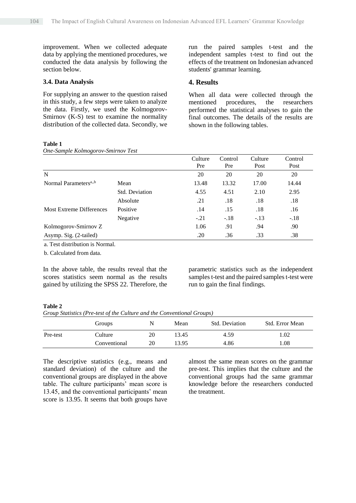improvement. When we collected adequate data by applying the mentioned procedures, we conducted the data analysis by following the section below.

#### **3.4. Data Analysis**

For supplying an answer to the question raised in this study, a few steps were taken to analyze the data. Firstly, we used the Kolmogorov-Smirnov (K-S) test to examine the normality distribution of the collected data. Secondly, we

run the paired samples t-test and the independent samples t-test to find out the effects of the treatment on Indonesian advanced students' grammar learning.

#### **4. Results**

When all data were collected through the mentioned procedures, the researchers performed the statistical analyses to gain the final outcomes. The details of the results are shown in the following tables.

## **Table 1**

*One-Sample Kolmogorov-Smirnov Test*

|                                   |                | Culture<br>Pre | Control<br>Pre | Culture<br>Post | Control<br>Post |
|-----------------------------------|----------------|----------------|----------------|-----------------|-----------------|
| N                                 |                | 20             | 20             | 20              | 20              |
| Normal Parameters <sup>a,,b</sup> | Mean           | 13.48          | 13.32          | 17.00           | 14.44           |
|                                   | Std. Deviation | 4.55           | 4.51           | 2.10            | 2.95            |
|                                   | Absolute       | .21            | .18            | .18             | .18             |
| <b>Most Extreme Differences</b>   | Positive       | .14            | .15            | .18             | .16             |
|                                   | Negative       | $-.21$         | $-.18$         | $-.13$          | $-.18$          |
| Kolmogorov-Smirnov Z              |                | 1.06           | .91            | .94             | .90             |
| Asymp. Sig. (2-tailed)            |                | .20            | .36            | .33             | .38             |

a. Test distribution is Normal.

b. Calculated from data.

In the above table, the results reveal that the scores statistics seem normal as the results gained by utilizing the SPSS 22. Therefore, the

parametric statistics such as the independent samples t-test and the paired samples t-test were run to gain the final findings.

#### **Table 2**

*Group Statistics (Pre-test of the Culture and the Conventional Groups)*

|          | Groups       | N  | Mean  | <b>Std. Deviation</b> | Std. Error Mean |
|----------|--------------|----|-------|-----------------------|-----------------|
| Pre-test | Culture      | 20 | 13.45 | 4.59                  | .02             |
|          | Conventional | 20 | 13.95 | 4.86                  | 0.08            |

The descriptive statistics (e.g., means and standard deviation) of the culture and the conventional groups are displayed in the above table. The culture participants' mean score is 13.45, and the conventional participants' mean score is 13.95. It seems that both groups have

almost the same mean scores on the grammar pre-test. This implies that the culture and the conventional groups had the same grammar knowledge before the researchers conducted the treatment.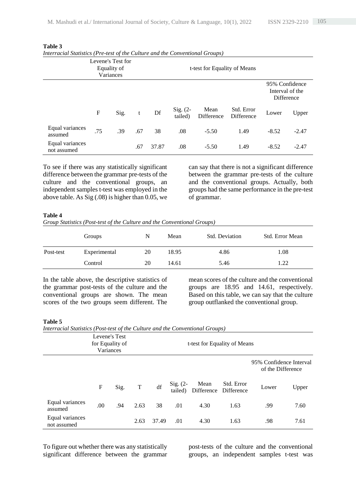| Levene's Test for<br>Equality of<br>Variances |     |      |     |       |                       | t-test for Equality of Means |                                 |                                                        |         |
|-----------------------------------------------|-----|------|-----|-------|-----------------------|------------------------------|---------------------------------|--------------------------------------------------------|---------|
|                                               |     |      |     |       |                       |                              |                                 | 95% Confidence<br>Interval of the<br><b>Difference</b> |         |
|                                               | F   | Sig. | t   | Df    | Sig. $(2-$<br>tailed) | Mean<br>Difference           | Std. Error<br><b>Difference</b> | Lower                                                  | Upper   |
| Equal variances<br>assumed                    | .75 | .39  | .67 | 38    | .08                   | $-5.50$                      | 1.49                            | $-8.52$                                                | $-2.47$ |
| Equal variances<br>not assumed                |     |      | .67 | 37.87 | .08                   | $-5.50$                      | 1.49                            | $-8.52$                                                | $-2.47$ |

#### **Table 3**

| Interracial Statistics (Pre-test of the Culture and the Conventional Groups) |  |  |
|------------------------------------------------------------------------------|--|--|
|                                                                              |  |  |

To see if there was any statistically significant difference between the grammar pre-tests of the culture and the conventional groups, an independent samples t-test was employed in the above table. As Sig (.08) is higher than 0.05, we

can say that there is not a significant difference between the grammar pre-tests of the culture and the conventional groups. Actually, both groups had the same performance in the pre-test of grammar.

#### **Table 4**

*Group Statistics (Post-test of the Culture and the Conventional Groups)*

|           | Groups       | N  | Mean  | Std. Deviation | Std. Error Mean |
|-----------|--------------|----|-------|----------------|-----------------|
| Post-test | Experimental | 20 | 18.95 | 4.86           | 1.08            |
|           | Control      | 20 | 14.61 | 5.46           | .22             |

In the table above, the descriptive statistics of the grammar post-tests of the culture and the conventional groups are shown. The mean scores of the two groups seem different. The

mean scores of the culture and the conventional groups are 18.95 and 14.61, respectively. Based on this table, we can say that the culture group outflanked the conventional group.

#### **Table 5**

*Interracial Statistics (Post-test of the Culture and the Conventional Groups)*

|                                | Levene's Test<br>for Equality of<br>Variances |      |      |       |                       | t-test for Equality of Means |                          |                                              |       |
|--------------------------------|-----------------------------------------------|------|------|-------|-----------------------|------------------------------|--------------------------|----------------------------------------------|-------|
|                                |                                               |      |      |       |                       |                              |                          | 95% Confidence Interval<br>of the Difference |       |
|                                | $\mathbf F$                                   | Sig. | T    | df    | $Sig. (2-$<br>tailed) | Mean<br>Difference           | Std. Error<br>Difference | Lower                                        | Upper |
| Equal variances<br>assumed     | .00                                           | .94  | 2.63 | 38    | .01                   | 4.30                         | 1.63                     | .99                                          | 7.60  |
| Equal variances<br>not assumed |                                               |      | 2.63 | 37.49 | .01                   | 4.30                         | 1.63                     | .98                                          | 7.61  |

To figure out whether there was any statistically significant difference between the grammar

post-tests of the culture and the conventional groups, an independent samples t-test was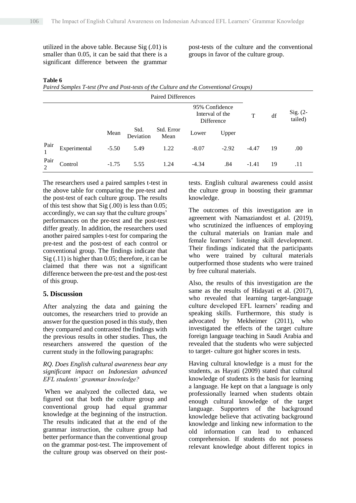utilized in the above table. Because Sig (.01) is smaller than 0.05, it can be said that there is a significant difference between the grammar post-tests of the culture and the conventional groups in favor of the culture group.

#### **Table 6**

*Paired Samples T-test (Pre and Post-tests of the Culture and the Conventional Groups)*

|           | <b>Paired Differences</b> |         |                   |                                                 |         |         |         |    |                       |
|-----------|---------------------------|---------|-------------------|-------------------------------------------------|---------|---------|---------|----|-----------------------|
|           |                           |         |                   | 95% Confidence<br>Interval of the<br>Difference |         |         | T       | df | $Sig. (2-$<br>tailed) |
|           |                           | Mean    | Std.<br>Deviation | Std. Error<br>Mean                              | Lower   | Upper   |         |    |                       |
| Pair      | Experimental              | $-5.50$ | 5.49              | 1.22                                            | $-8.07$ | $-2.92$ | $-4.47$ | 19 | .00.                  |
| Pair<br>2 | Control                   | $-1.75$ | 5.55              | 1.24                                            | $-4.34$ | .84     | $-1.41$ | 19 | .11                   |

The researchers used a paired samples t-test in the above table for comparing the pre-test and the post-test of each culture group. The results of this test show that Sig (.00) is less than 0.05; accordingly, we can say that the culture groups' performances on the pre-test and the post-test differ greatly. In addition, the researchers used another paired samples t-test for comparing the pre-test and the post-test of each control or conventional group. The findings indicate that Sig (.11) is higher than 0.05; therefore, it can be claimed that there was not a significant difference between the pre-test and the post-test of this group.

### **5. Discussion**

After analyzing the data and gaining the outcomes, the researchers tried to provide an answer for the question posed in this study, then they compared and contrasted the findings with the previous results in other studies. Thus, the researchers answered the question of the current study in the following paragraphs:

### *RQ. Does English cultural awareness bear any significant impact on Indonesian advanced EFL students' grammar knowledge?*

When we analyzed the collected data, we figured out that both the culture group and conventional group had equal grammar knowledge at the beginning of the instruction. The results indicated that at the end of the grammar instruction, the culture group had better performance than the conventional group on the grammar post-test. The improvement of the culture group was observed on their posttests. English cultural awareness could assist the culture group in boosting their grammar knowledge.

The outcomes of this investigation are in agreement with Namaziandost et al. (2019), who scrutinized the influences of employing the cultural materials on Iranian male and female learners' listening skill development. Their findings indicated that the participants who were trained by cultural materials outperformed those students who were trained by free cultural materials.

Also, the results of this investigation are the same as the results of Hidayati et al. (2017), who revealed that learning target-language culture developed EFL learners' reading and speaking skills. Furthermore, this study is advocated by Mekheimer (2011), who investigated the effects of the target culture foreign language teaching in Saudi Arabia and revealed that the students who were subjected to target- culture got higher scores in tests.

Having cultural knowledge is a must for the students, as Hayati (2009) stated that cultural knowledge of students is the basis for learning a language. He kept on that a language is only professionally learned when students obtain enough cultural knowledge of the target language. Supporters of the background knowledge believe that activating background knowledge and linking new information to the old information can lead to enhanced comprehension. If students do not possess relevant knowledge about different topics in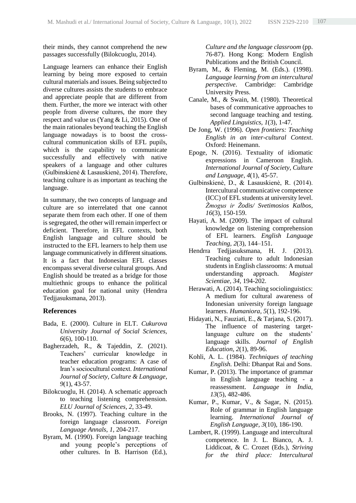their minds, they cannot comprehend the new passages successfully (Bilokcuoglu, 2014).

Language learners can enhance their English learning by being more exposed to certain cultural materials and issues. Being subjected to diverse cultures assists the students to embrace and appreciate people that are different from them. Further, the more we interact with other people from diverse cultures, the more they respect and value us (Yang & Li, 2015). One of the main rationales beyond teaching the English language nowadays is to boost the crosscultural communication skills of EFL pupils, which is the capability to communicate successfully and effectively with native speakers of a language and other cultures (Gulbinskienė & Lasauskienė, 2014). Therefore, teaching culture is as important as teaching the language.

In summary, the two concepts of language and culture are so interrelated that one cannot separate them from each other. If one of them is segregated, the other will remain imperfect or deficient. Therefore, in EFL contexts, both English language and culture should be instructed to the EFL learners to help them use language communicatively in different situations. It is a fact that Indonesian EFL classes encompass several diverse cultural groups. And English should be treated as a bridge for those multiethnic groups to enhance the political education goal for national unity (Hendrra Tedjjasuksmana, 2013).

#### **References**

- Bada, E. (2000). Culture in ELT. *Cukurova University Journal of Social Sciences, 6*(6), 100-110.
- Bagherzadeh, R., & Tajeddin, Z. (2021). Teachers' curricular knowledge in teacher education programs: A case of Iran's sociocultural context. *International Journal of Society, Culture & Language*, *9*(1), 43-57.
- Bilokcuoglu, H. (2014). A schematic approach to teaching listening comprehension. *ELU Journal of Sciences, 2*, 33-49.
- Brooks, N. (1997). Teaching culture in the foreign language classroom. *Foreign Language Annals*, *1*, 204-217.
- Byram, M. (1990). Foreign language teaching and young people's perceptions of other cultures. In B. Harrison (Ed.),

*Culture and the language classroom* (pp. 76-87). Hong Kong: Modern English Publications and the British Council.

- Byram, M., & Fleming, M. (Eds.). (1998). *Language learning from an intercultural perspective*. Cambridge: Cambridge University Press.
- Canale, M., & Swain, M. (1980). Theoretical bases of communicative approaches to second language teaching and testing. *Applied Linguistics, 1*(3), 1-47.
- De Jong, W. (1996). *Open frontiers: Teaching English in an inter-cultural Context*. Oxford: Heinemann.
- Epoge, N. (2016). Textuality of idiomatic expressions in Cameroon English. *International Journal of Society, Culture and Language*, *4*(1), 45-57.
- Gulbinskienė, D., & Lasauskienė, R. (2014). Intercultural communicative competence (ICC) of EFL students at university level. *Žmogus ir Žodis/ Svetimosios Kalbos, 16*(3), 150-159.
- Hayati, A. M. (2009). The impact of cultural knowledge on listening comprehension of EFL learners*. English Language Teaching, 2*(3), 144–151.
- Hendrra Tedjjasuksmana, H. J. (2013). Teaching culture to adult Indonesian students in English classrooms: A mutual understanding approach. *Magister Scientiae, 34,* 194-202.
- Herawati, A. (2014). Teaching sociolinguistics: A medium for cultural awareness of Indonesian university foreign language learners. *Humaniora, 5*(1), 192-196.
- Hidayati, N., Fauziati, E., & Tarjana, S. (2017). The influence of mastering targetlanguage culture on the students' language skills. *Journal of English Education, 2*(1), 89-96.
- Kohli, A. L. (1984). *Techniques of teaching English.* Delhi: Dhanpat Rai and Sons.
- Kumar, P. (2013). The importance of grammar in English language teaching - a reassessment. *Language in India, 13*(5), 482-486.
- Kumar, P., Kumar, V., & Sagar, N. (2015). Role of grammar in English language learning. *International Journal of English Language, 3*(10), 186-190.
- Lambert, R. (1999). Language and intercultural competence. In J. L. Bianco, A. J. Liddicoat, & C. Crozet (Eds.), *Striving for the third place: Intercultural*